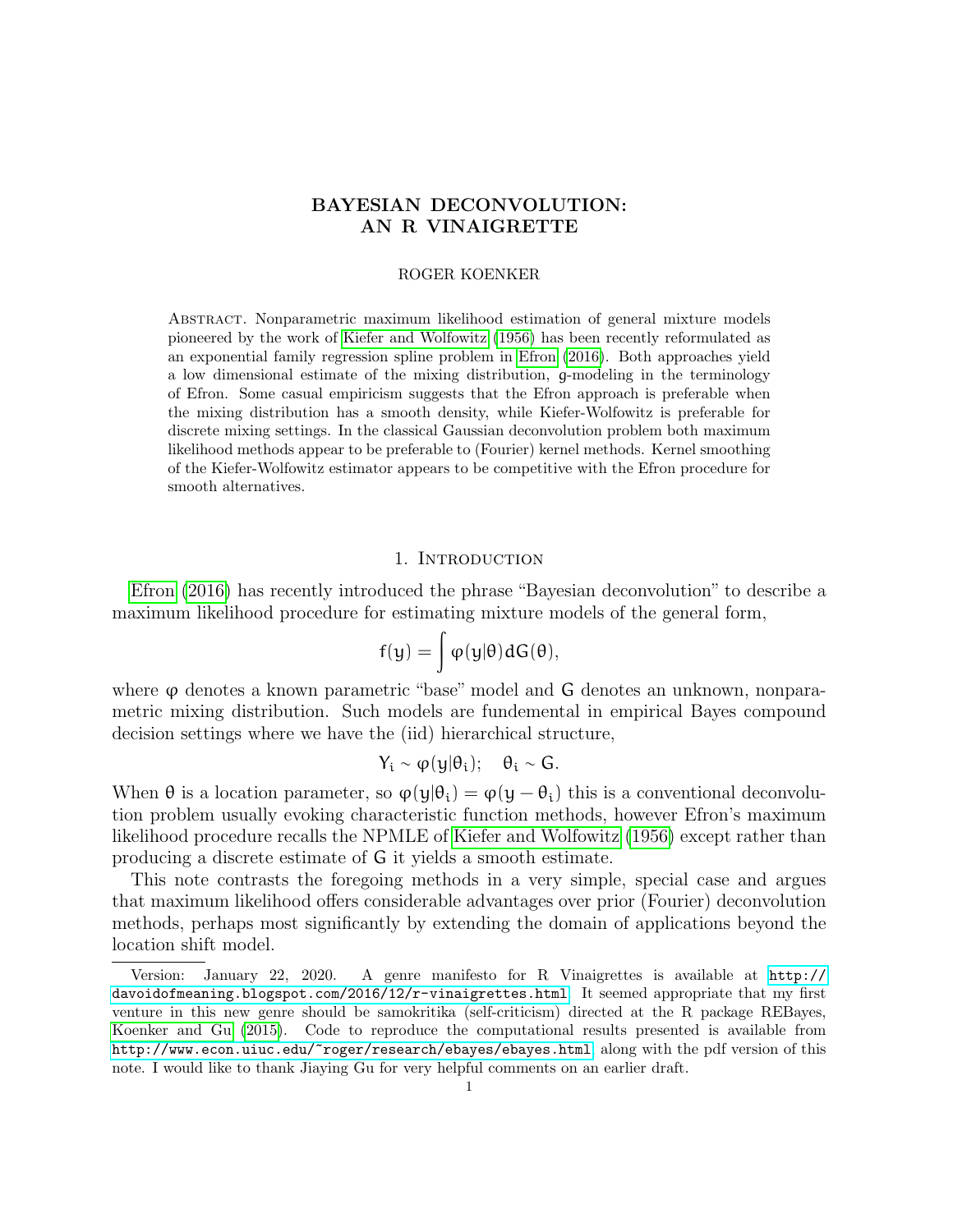# BAYESIAN DECONVOLUTION: AN R VINAIGRETTE

### ROGER KOENKER

Abstract. Nonparametric maximum likelihood estimation of general mixture models pioneered by the work of [Kiefer and Wolfowitz](#page-3-0) [\(1956\)](#page-3-0) has been recently reformulated as an exponential family regression spline problem in [Efron](#page-3-1) [\(2016\)](#page-3-1). Both approaches yield a low dimensional estimate of the mixing distribution, g-modeling in the terminology of Efron. Some casual empiricism suggests that the Efron approach is preferable when the mixing distribution has a smooth density, while Kiefer-Wolfowitz is preferable for discrete mixing settings. In the classical Gaussian deconvolution problem both maximum likelihood methods appear to be preferable to (Fourier) kernel methods. Kernel smoothing of the Kiefer-Wolfowitz estimator appears to be competitive with the Efron procedure for smooth alternatives.

## 1. INTRODUCTION

[Efron](#page-3-1) [\(2016\)](#page-3-1) has recently introduced the phrase "Bayesian deconvolution" to describe a maximum likelihood procedure for estimating mixture models of the general form,

$$
f(y) = \int \phi(y|\theta) dG(\theta),
$$

where  $\varphi$  denotes a known parametric "base" model and G denotes an unknown, nonparametric mixing distribution. Such models are fundemental in empirical Bayes compound decision settings where we have the (iid) hierarchical structure,

$$
Y_i \sim \phi(y|\theta_i); \quad \theta_i \sim G.
$$

When  $\theta$  is a location parameter, so  $\varphi(y|\theta_i) = \varphi(y-\theta_i)$  this is a conventional deconvolution problem usually evoking characteristic function methods, however Efron's maximum likelihood procedure recalls the NPMLE of [Kiefer and Wolfowitz](#page-3-0) [\(1956\)](#page-3-0) except rather than producing a discrete estimate of G it yields a smooth estimate.

This note contrasts the foregoing methods in a very simple, special case and argues that maximum likelihood offers considerable advantages over prior (Fourier) deconvolution methods, perhaps most significantly by extending the domain of applications beyond the location shift model.

Version: January 22, 2020. A genre manifesto for R Vinaigrettes is available at [http://](http://davoidofmeaning.blogspot.com/2016/12/r-vinaigrettes.html) [davoidofmeaning.blogspot.com/2016/12/r-vinaigrettes.html](http://davoidofmeaning.blogspot.com/2016/12/r-vinaigrettes.html). It seemed appropriate that my first venture in this new genre should be samokritika (self-criticism) directed at the R package REBayes, [Koenker and Gu](#page-3-2) [\(2015\)](#page-3-2). Code to reproduce the computational results presented is available from <http://www.econ.uiuc.edu/~roger/research/ebayes/ebayes.html>, along with the pdf version of this note. I would like to thank Jiaying Gu for very helpful comments on an earlier draft.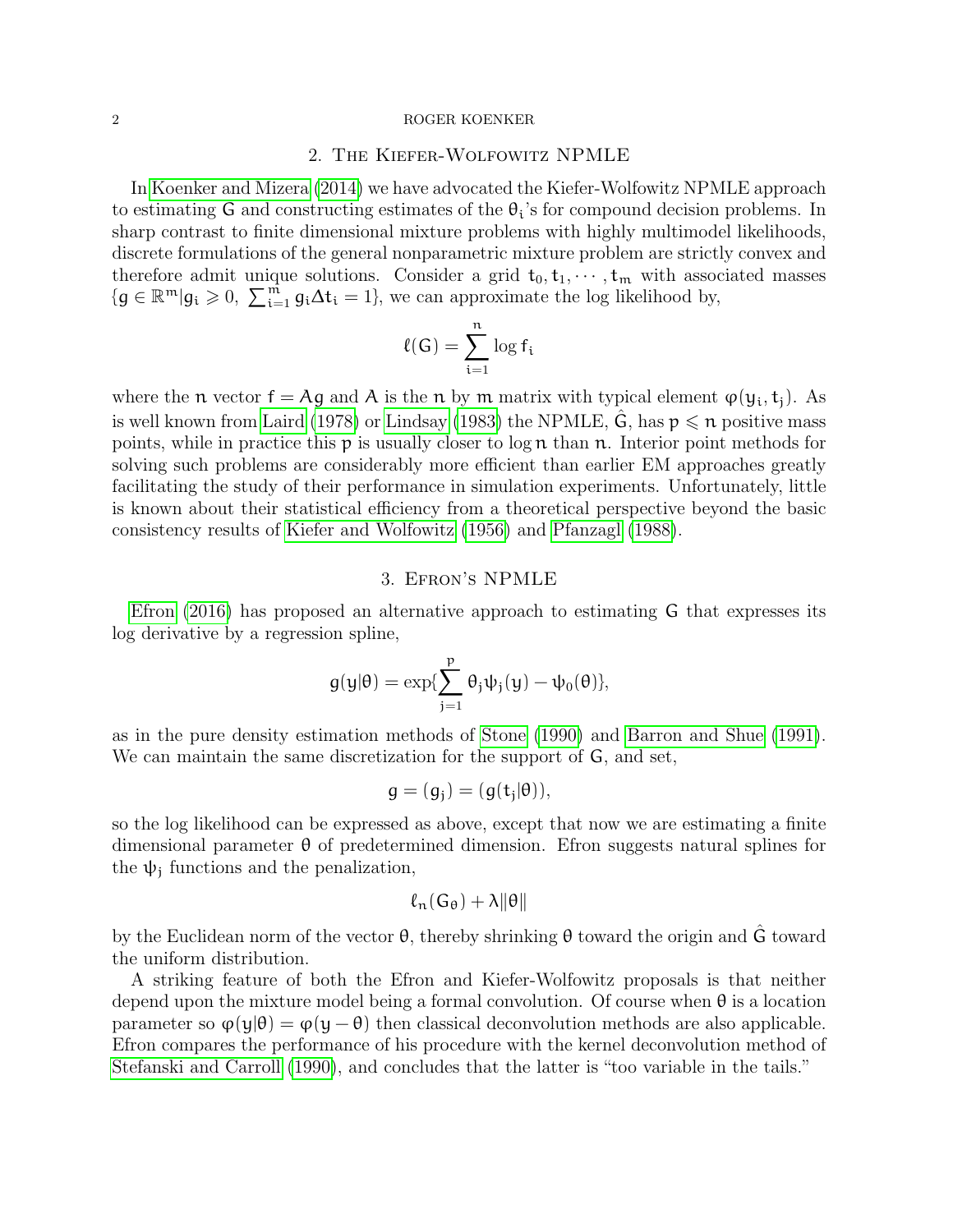#### 2 ROGER KOENKER

# 2. The Kiefer-Wolfowitz NPMLE

In [Koenker and Mizera](#page-3-3) [\(2014\)](#page-3-3) we have advocated the Kiefer-Wolfowitz NPMLE approach to estimating G and constructing estimates of the  $\theta_i$ 's for compound decision problems. In sharp contrast to finite dimensional mixture problems with highly multimodel likelihoods, discrete formulations of the general nonparametric mixture problem are strictly convex and therefore admit unique solutions. Consider a grid  $t_0, t_1, \dots, t_m$  with associated masses  ${g \in \mathbb{R}^m | g_i \geqslant 0, \sum_{i=1}^m g_i \Delta t_i = 1},$  we can approximate the log likelihood by,

$$
\ell(G)=\sum_{i=1}^n \log f_i
$$

where the n vector  $f = Ag$  and A is the n by m matrix with typical element  $\varphi(y_i, t_i)$ . As is well known from [Laird](#page-3-4) [\(1978\)](#page-3-4) or [Lindsay](#page-3-5) [\(1983\)](#page-3-5) the NPMLE, G, has  $p \leq n$  positive mass points, while in practice this  $p$  is usually closer to  $\log n$  than n. Interior point methods for solving such problems are considerably more efficient than earlier EM approaches greatly facilitating the study of their performance in simulation experiments. Unfortunately, little is known about their statistical efficiency from a theoretical perspective beyond the basic consistency results of [Kiefer and Wolfowitz](#page-3-0) [\(1956\)](#page-3-0) and [Pfanzagl](#page-3-6) [\(1988\)](#page-3-6).

## 3. Efron's NPMLE

[Efron](#page-3-1) [\(2016\)](#page-3-1) has proposed an alternative approach to estimating G that expresses its log derivative by a regression spline,

$$
g(y|\theta)=\exp\{\sum_{j=1}^p\theta_j\psi_j(y)-\psi_0(\theta)\},
$$

as in the pure density estimation methods of [Stone](#page-3-7) [\(1990\)](#page-3-7) and [Barron and Shue](#page-3-8) [\(1991\)](#page-3-8). We can maintain the same discretization for the support of  $G$ , and set,

$$
g=(g_j)=(g(t_j|\theta)),
$$

so the log likelihood can be expressed as above, except that now we are estimating a finite dimensional parameter  $\theta$  of predetermined dimension. Efron suggests natural splines for the  $\psi_j$  functions and the penalization,

$$
\ell_n(\mathsf{G}_\theta)+\lambda\|\theta\|
$$

by the Euclidean norm of the vector  $\theta$ , thereby shrinking  $\theta$  toward the origin and G toward the uniform distribution.

A striking feature of both the Efron and Kiefer-Wolfowitz proposals is that neither depend upon the mixture model being a formal convolution. Of course when  $\theta$  is a location parameter so  $\varphi(y|\theta) = \varphi(y-\theta)$  then classical deconvolution methods are also applicable. Efron compares the performance of his procedure with the kernel deconvolution method of [Stefanski and Carroll](#page-3-9) [\(1990\)](#page-3-9), and concludes that the latter is "too variable in the tails."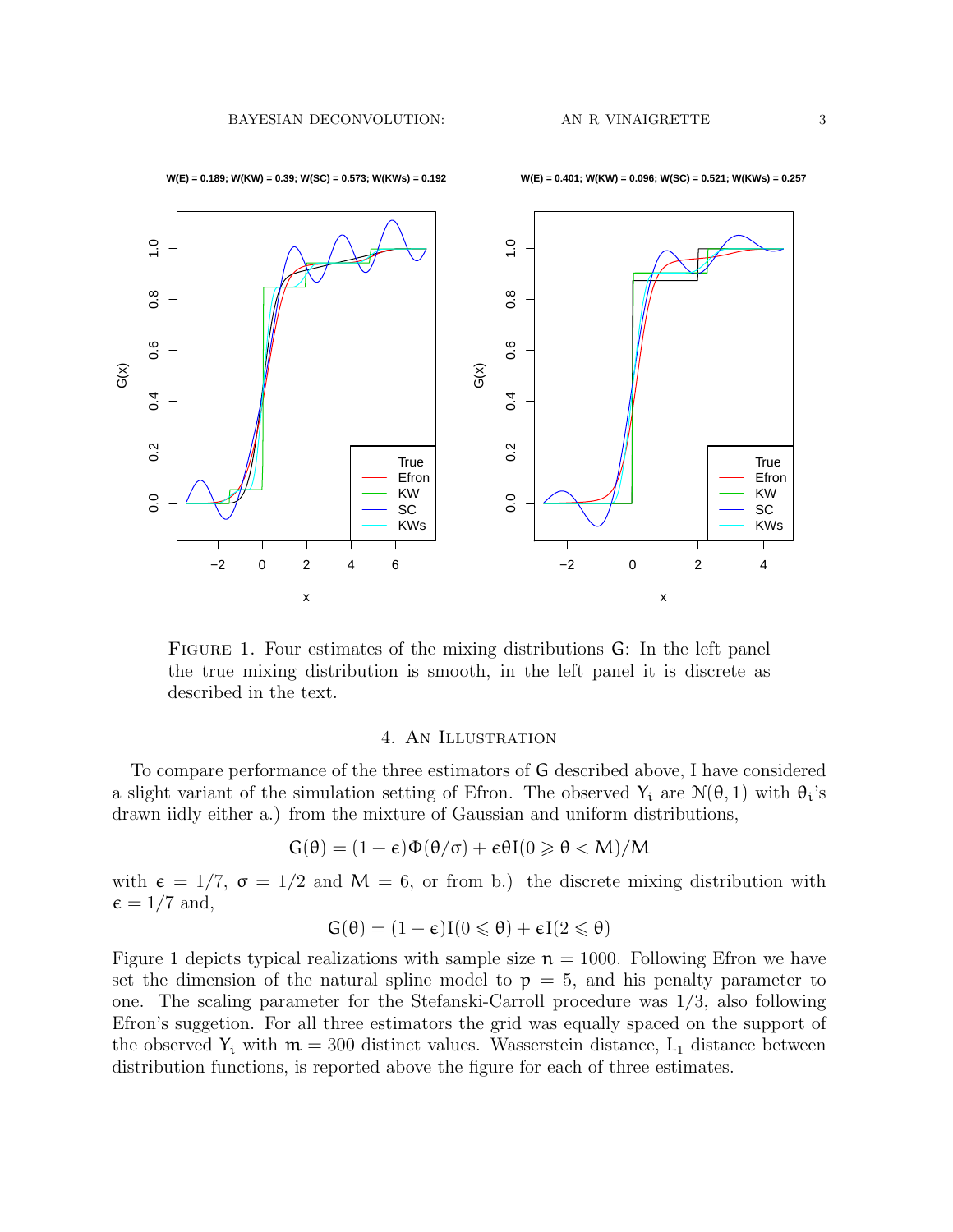

FIGURE 1. Four estimates of the mixing distributions G: In the left panel the true mixing distribution is smooth, in the left panel it is discrete as described in the text.

### 4. An Illustration

To compare performance of the three estimators of G described above, I have considered a slight variant of the simulation setting of Efron. The observed  $Y_i$  are  $\mathcal{N}(\theta, 1)$  with  $\theta_i$ 's drawn iidly either a.) from the mixture of Gaussian and uniform distributions,

$$
G(\theta) = (1 - \varepsilon)\Phi(\theta/\sigma) + \varepsilon\theta I(0 \geqslant \theta < M)/M
$$

with  $\epsilon = 1/7$ ,  $\sigma = 1/2$  and  $M = 6$ , or from b.) the discrete mixing distribution with  $\epsilon = 1/7$  and,

$$
G(\theta) = (1 - \varepsilon)I(0 \leqslant \theta) + \varepsilon I(2 \leqslant \theta)
$$

Figure 1 depicts typical realizations with sample size  $n = 1000$ . Following Efron we have set the dimension of the natural spline model to  $p = 5$ , and his penalty parameter to one. The scaling parameter for the Stefanski-Carroll procedure was 1/3, also following Efron's suggetion. For all three estimators the grid was equally spaced on the support of the observed  $Y_i$  with  $m = 300$  distinct values. Wasserstein distance,  $L_1$  distance between distribution functions, is reported above the figure for each of three estimates.